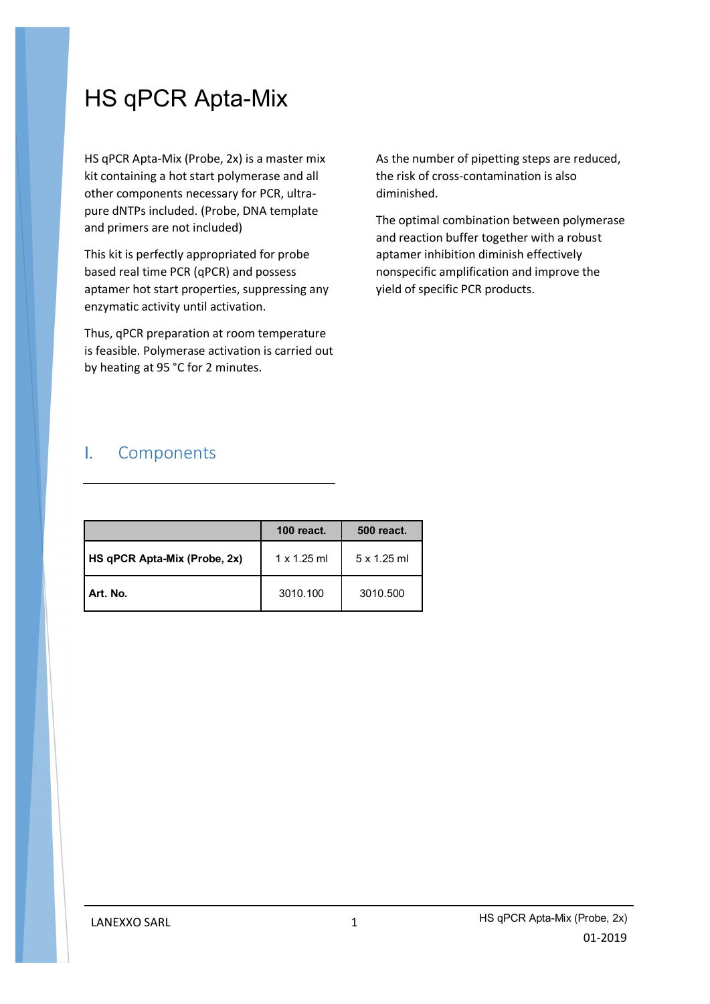# HS qPCR Apta-Mix

HS qPCR Apta-Mix (Probe, 2x) is a master mix kit containing a hot start polymerase and all other components necessary for PCR, ultrapure dNTPs included. (Probe, DNA template and primers are not included)

This kit is perfectly appropriated for probe based real time PCR (qPCR) and possess aptamer hot start properties, suppressing any enzymatic activity until activation.

Thus, qPCR preparation at room temperature is feasible. Polymerase activation is carried out by heating at 95 °C for 2 minutes.

As the number of pipetting steps are reduced, the risk of cross-contamination is also diminished.

The optimal combination between polymerase and reaction buffer together with a robust aptamer inhibition diminish effectively nonspecific amplification and improve the yield of specific PCR products.

## I. Components

|                              | <b>100 react.</b>  | 500 react.  |
|------------------------------|--------------------|-------------|
| HS qPCR Apta-Mix (Probe, 2x) | $1 \times 1.25$ ml | 5 x 1.25 ml |
| Art. No.                     | 3010.100           | 3010.500    |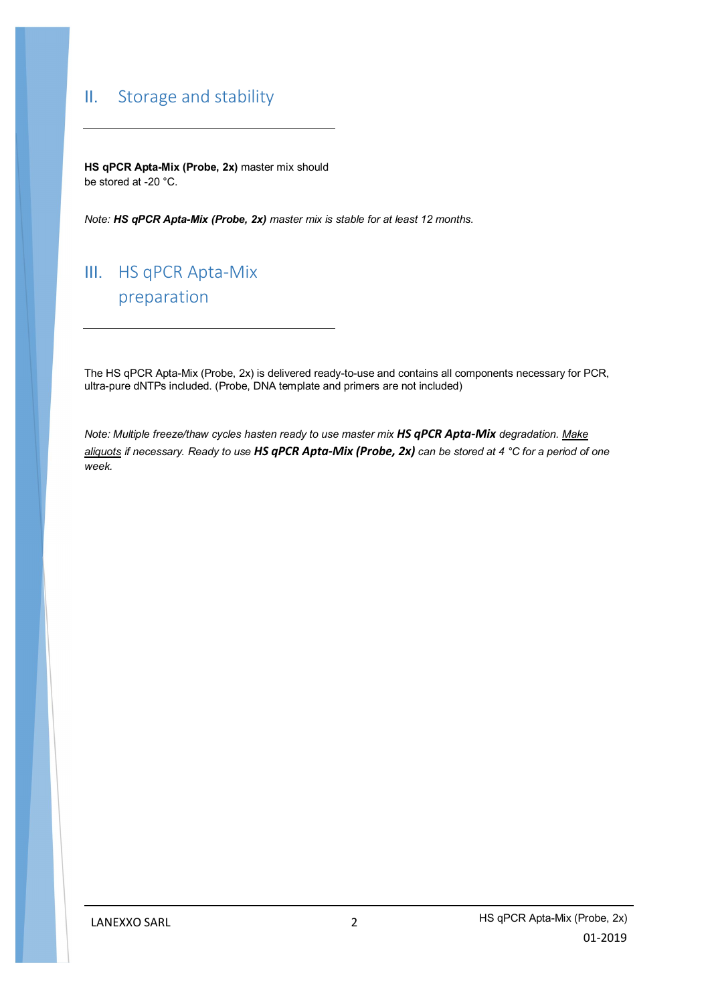## II. Storage and stability

**HS qPCR Apta-Mix (Probe, 2x)** master mix should be stored at -20 °C.

*Note: HS qPCR Apta-Mix (Probe, 2x) master mix is stable for at least 12 months.*

## III. HS qPCR Apta-Mix preparation

The HS qPCR Apta-Mix (Probe, 2x) is delivered ready-to-use and contains all components necessary for PCR, ultra-pure dNTPs included. (Probe, DNA template and primers are not included)

*Note: Multiple freeze/thaw cycles hasten ready to use master mix HS qPCR Apta-Mix degradation. Make aliquots if necessary. Ready to use HS qPCR Apta-Mix (Probe, 2x) can be stored at 4 °C for a period of one week.*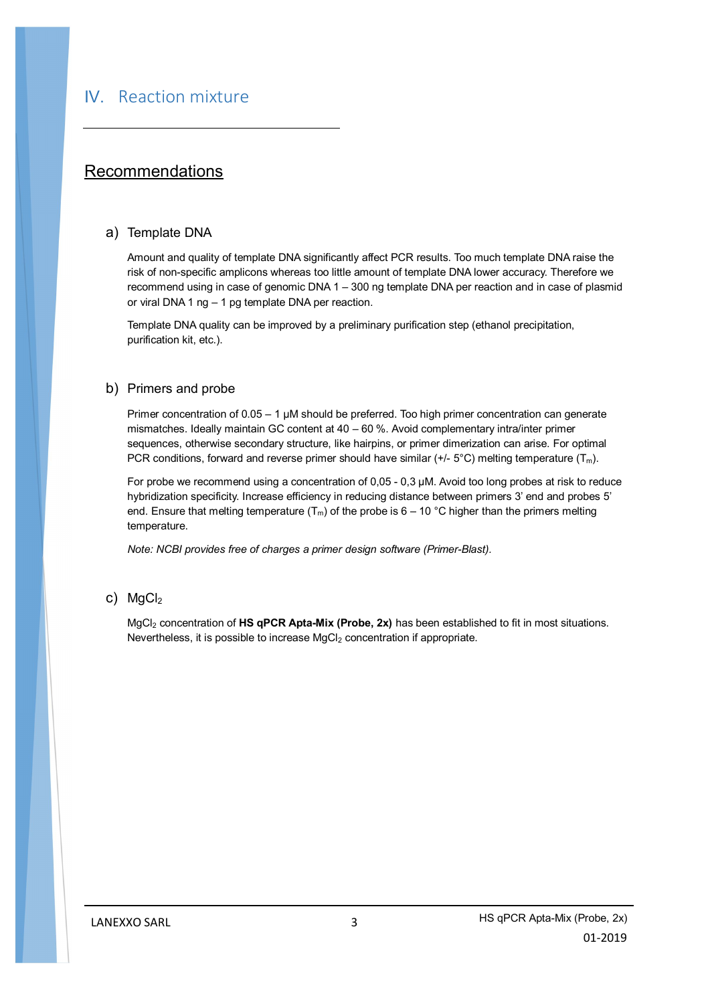### Recommendations

#### a) Template DNA

Amount and quality of template DNA significantly affect PCR results. Too much template DNA raise the risk of non-specific amplicons whereas too little amount of template DNA lower accuracy. Therefore we recommend using in case of genomic DNA 1 – 300 ng template DNA per reaction and in case of plasmid or viral DNA 1 ng – 1 pg template DNA per reaction.

Template DNA quality can be improved by a preliminary purification step (ethanol precipitation, purification kit, etc.).

#### b) Primers and probe

Primer concentration of 0.05 – 1 µM should be preferred. Too high primer concentration can generate mismatches. Ideally maintain GC content at 40 – 60 %. Avoid complementary intra/inter primer sequences, otherwise secondary structure, like hairpins, or primer dimerization can arise. For optimal PCR conditions, forward and reverse primer should have similar (+/-  $5^{\circ}$ C) melting temperature (T<sub>m</sub>).

For probe we recommend using a concentration of 0,05 - 0,3 µM. Avoid too long probes at risk to reduce hybridization specificity. Increase efficiency in reducing distance between primers 3' end and probes 5' end. Ensure that melting temperature  $(T_m)$  of the probe is 6 – 10 °C higher than the primers melting temperature.

*Note: NCBI provides free of charges a primer design software (Primer-Blast).*

#### c) MgCl<sub>2</sub>

MgCl<sub>2</sub> concentration of HS qPCR Apta-Mix (Probe, 2x) has been established to fit in most situations. Nevertheless, it is possible to increase MgCl<sub>2</sub> concentration if appropriate.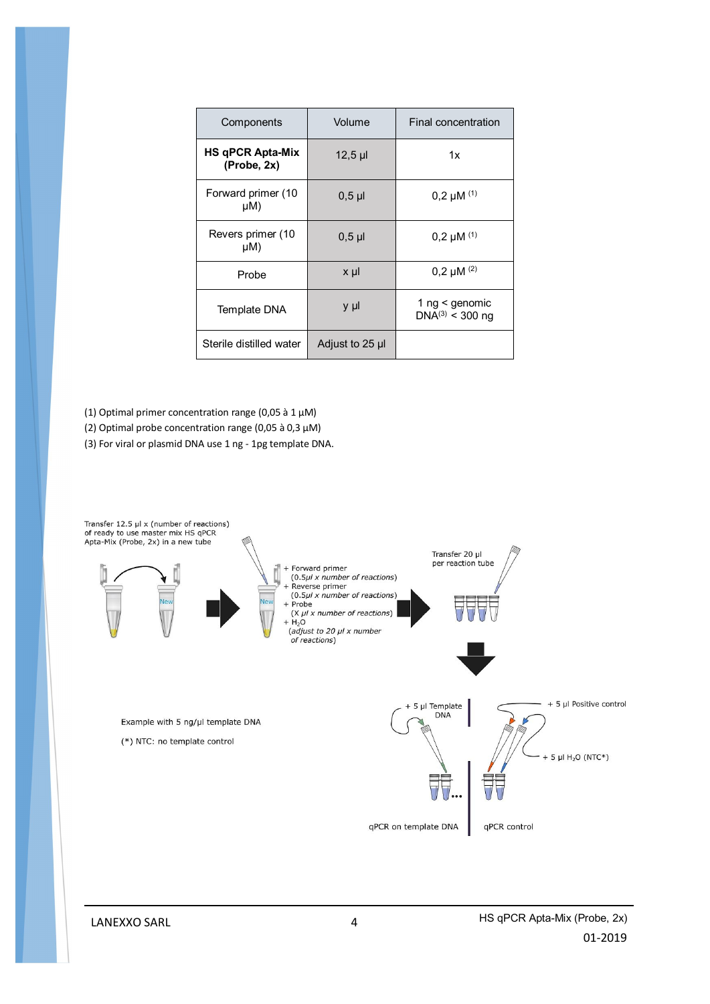| Components                             | Volume          | Final concentration                    |
|----------------------------------------|-----------------|----------------------------------------|
| <b>HS qPCR Apta-Mix</b><br>(Probe, 2x) | $12,5$ µl       | 1x                                     |
| Forward primer (10<br>$\mu$ M)         | $0,5$ µ         | $0,2 \mu M$ (1)                        |
| Revers primer (10<br>$\mu$ M)          | $0,5$ µ         | $0,2 \mu M$ <sup>(1)</sup>             |
| Probe                                  | $x \mu$         | $0,2 \mu M^{(2)}$                      |
| Template DNA                           | y µl            | 1 ng < genomic<br>$DNA^{(3)}$ < 300 ng |
| Sterile distilled water                | Adjust to 25 µl |                                        |

- (1) Optimal primer concentration range (0,05 à 1 µM)
- (2) Optimal probe concentration range (0,05 à 0,3 µM)
- (3) For viral or plasmid DNA use 1 ng 1pg template DNA.



LANEXXO SARL 4